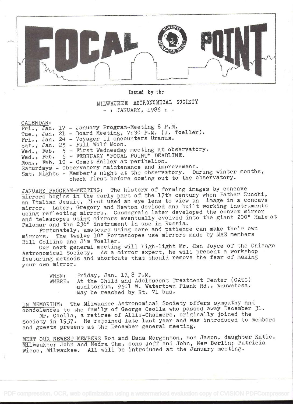

Issued by the

## MILWAUKEE ASTRONOMICAL SOCIETY  $-$ : JANUARY, 1986 :  $-$

CALENDAR:

Fri., Jan. 17 - January Program-Meeting 8 P.M. Tue., Jan. 21 - Board Meeting, 7:30 P.M. (J. Toeller). Fri., Jan. 24 - Voyager II encounters Uranus. Sat., Jan. 25 - Full Wolf Moon. Wed., Feb. 5 - First Wednesday meeting at observatory. Wed., Feb. 5 - FEBRUARY "FOCAL POINT" DEADLINE. Mon., Feb. 10 - Comet Halley at perihelion. Saturdays - Observatory maintenance and improvement. Sat. Nights - Member's night at the observatory. During winter months, check first before coming out to the observatory.

JANUARY PROGRAM-MEETING: The history of forming images by concave mirrors begins in the early part of the 17th century when Father Zucchi, an Italian Jesuit, first used an eye lens to view an image in a concave mirror. Later, Gregory and Newton devised and built working instruments using reflecting mirrors. Cassegrain later developed the convex mirror and telescopes using mirrors eventually evolved into the giant 200" Hale at Palomar and the 236" instrument in use in Russia.

Fortunately, amateurs using care and patience can make their own mirrors. The twelve 10" Portascopes use mirrors made by MAS members Bill Collins and Jim Toeller.

Our next general meeting will high-light Mr. Dan Joyce of the Chicago Astronomical Society. As a mirror expert, he will present a workshop featuring methods and shortcuts that should remove the fear of making your own mirror.

> WHEN: Friday, Jan. 17,8 P.M. WHERE: At the Child and Adolescent Treatment Center (CATC) auditorium, 9501 W. Watertown Plank Rd. , Wauwatosa. May be reached by Rt. 71 bus.

IN MEMORIUM: The Milwaukee Astronomical Society offers sympathy and condolences to the family of George Ceolla who passed away December 31. Mr. Ceolla, a retiree of Allis-Chalmers, originally joined the

Society in 1957. He rejoined late last year and was introduced to members and guests present at the December general meeting.

MEET OUR NEWEST MEMBERS Ron and Dana Morgenson, son Jason, daughter Katie, Milwaukee; John and Nedra Ohm, sons Jeff and John, New Berlin; Patricia Wiese, Milwaukee. All will be introduced at the January meeting.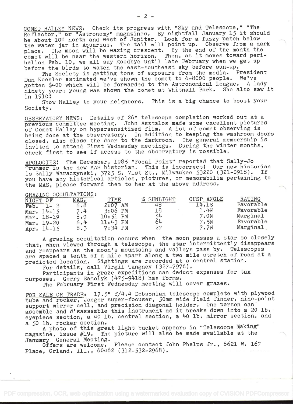COMET HALLEY NEWS: Check its progress with "Sky and Telescope," "The COMET HALLEY NEWS: Check its progress with "Sky and Telescope," "The<br>Reflector," or "Astronomy" magazines. By nightfall January 15 it should be about 10° north and west of Jupiter. Look for a fuzzy patch below the water jar in Aquarius. The tail will point up. Observe from a dark place. The moon will be waxing crescent. By the end of the month the comet will be near the western horizon. Then, as it moves toward perihelion Feb. 10, we all say goodbye until late February when we get up before the birds to watch the east-southeast sky before sun-up.

The Society is getting tons of exposure from the media. President Dan Koehler estimated we've shown the comet to 6-8000 people. We've gotten \$400 which will be forwarded to the Astronomical League. A lady ninety years young was shown the comet at Whitnall Park. She also saw it in 1910

Show Halley to your neighbors. This is a big chance to boost your Society.

OBSERVATORY NEWS: Details of 26" telescope completion worked out at a previous committee meeting. John Asztalos made some excellent pictures of Comet Halley on hypersensitized film. A lot of comet observing is being done at the observatory. In addition to keeping the washroom doors being done at the observatory. In addition to keeping the washibom doors<br>closed, also close the door to the darkroom. The general membership is invited to attend First Wednesday meetings. During the winter months, check first to see if access to the observatory is possible.

APOLOGIES! The December, 1985 "Focal Point" reported that Sally-Jo Trummer is the new MAS historian. This is incorrect! Our new historian is Sally Waraczynski, 3725 S. 71st St., Milwaukee 53220 (321-0918). If you have any historical articles, pictures, or memorabilia pertaining to the MAS, please forward them to her at the above address.

GRAZING OCCULTATIONS:

| NIGHT | $\bigcap$ $F$ | MAG. | TIME        | SUNLIGHT | ANGLE<br>CUSP | <b>RATING</b> |  |
|-------|---------------|------|-------------|----------|---------------|---------------|--|
| Feb.  |               | 6.8  | 2:07<br>AM  | 48       |               | Favorable     |  |
| Mar.  | $14 - 15$     | 7.4  | $3:06$ PM   | 18       | 1.4N          | Favorable     |  |
|       | Mar. 18-19    | 8.0  | $10:51$ PM  | 54       | 7.0N          | Marginal      |  |
|       | Mar. 19-20    | 6.4  | PM<br>11:43 | 64       | 7.5N          | Favorable     |  |
| Apr.  | $14 - 15$     | 8.3  | 7:34<br>PM  | 27       | 7.7N          | Marginal      |  |

<sup>A</sup>grazing occultation occurs when the moon passes a star so closely that, when viewed through a telescope, the star intermittently disappears and reappears as the moon's mountains and valleys pass by. Telescopes are spaced a tenth of a mile apart along a two mile stretch of road at <sup>a</sup> predicted location. Sightings are recorded at a central station.<br>For details, call Virgil Tangney (327-7976).

Participants in graze expeditions can deduct expenses for tax purposes. Gerry Samolyk (475-9418) has forms.

The February First Wednesday meeting will cover grazes.

FOR SALE OR TRADE: 17.5"  $f/4.4$  Dobsonian telescope complete with plywood tube and rocker, Jaeger super-focuser, 50mm wide field finder, nine-point support mirror cell, and precision diagonal holder. One person can assemble and disassemble this instrument as it breaks down into a 20 lb. eyepiece section, a 40 lb. central section, a 40 lb. mirror section, and a 50 lb. rocker section.

<sup>A</sup>photo of this great light bucket appears in "Telescope Making" magazine, issue #19. The picture will also be made available at the

January General Meeting.<br>Offers are welcome. Please contact John Phelps Jr., 8621 W. 167 Place, Orland, Ill., 60462 (312-532-2968).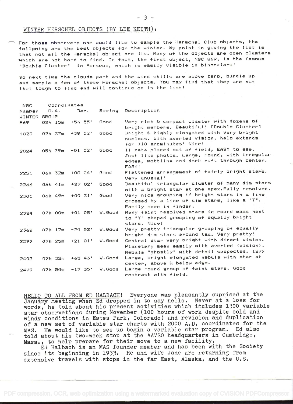## WINTER HERSCHEL OBJECTS (BY LEE KEITH):

For those observers who would like to sample the Herschel Club objects, the following are the best objects for the winter. My point in giving the list is that not all the Herschel object are dim. Many of the objects are open clusters which are not hard to find. tn fact, the first object, NGC 869, is the famous "Double Cluster" in Perseus which is easily visible in binoculars!

So next time the clouds part and the wind chills are above zero, bundle up and sample a few of these Herschel objects. You may find that they are not that touqh to find and will continue on in the list!

| <b>NGC</b>             | Coordinates |            |           |        |                                                                                                                                                       |
|------------------------|-------------|------------|-----------|--------|-------------------------------------------------------------------------------------------------------------------------------------------------------|
| Number<br>WINTER GROUP | R.A.        |            | Dec.      |        | Seeing Description                                                                                                                                    |
| 869                    | 02h 15m     | +56 55'    |           | Good   | Very rich & compact cluster with dozens of<br>bright members. Beautiful! [Double Cluster]                                                             |
| 1023                   | $02h$ $37m$ | $+38$ 52'  |           | Good   | Bright & highly elongated with very bright<br>nucleus. With averted vision, halo extends<br>for >10 arcminutes! Nice!                                 |
| 2024                   | 05h 39m     | $-01.52'$  |           | Good   | If zeta placed out of field, EASY to see.<br>Just like photos. Large, round, with irregular<br>edges, mottling and dark rift through center.<br>EASY! |
| 2251                   | 06h 32m     | $+08, 24'$ |           | Good   | Flattened arrangement of fairly bright stars.<br>Very unusual!                                                                                        |
| 2266                   | 06h 41m     | $+2702'$   |           | Good   | Beautiful triangular cluster of many dim stars<br>with a bright star at one apex. Fully resolved.                                                     |
| 2301                   | 06h 49m     | $+00$ 31'  |           | Good   | Very nice grouping if bright stars in a line<br>crossed by a line of dim stars, like a "T".<br>Easily seen in finder.                                 |
| 2324                   | 07h 00m     |            | $+0108'$  | V.Good | Many faint resolved stars in round mass next<br>to "Y" shaped grouping of equally bright<br>stars. Nice!                                              |
| 2362                   | 07h 17m     |            | $-24$ 52' | V.Good | Very pretty triangular grouping of equally<br>bright dim stars around tau. Very pretty!                                                               |
| 2392                   | 07h 25m     | $+2101'$   |           | V.Good | Central star very bright with direct vision.<br>Planetary seen easily with averted (vision).<br>Nebula "ghostly" with detail suspected. 127x          |
| 2403                   | 07h 32m     |            | +65 43'   | V.Good | Large, bright elongated nebula with star at<br>center, above & below edge.                                                                            |
| 2479                   | 07h 54m     |            | $-17.35'$ | V.Good | Large round group of faint stars. Good<br>contrast with field.                                                                                        |

HELLO TO ALL FROM ED HALBACH! Everyone was pleasantly suprised at the Januáry meeting when Ed dropped in to say hello. Never at a loss for words, he told about his present activities which includes 1300 variable star observations during November (100 hours of work despite cold and windy conditions in Estes Park, Colorado) and revision and duplication of a new set of variable star charts with 2000 A.D. coordinates for the<br>MAS. He would like to see us begin a variable star program. Ed also MAS. He would like to see us begin a variable star program. told about his two-week stop at the AAVSO headquarters in Cambridge, Mass.. , to help prepare for their move to a new facility.

Ed Halbach is an MAS founder member and has been with the Society since its beginning in 1933. He and wife Jane are returning from extensive travels with stops in the far East, Alaska, and the U.S.